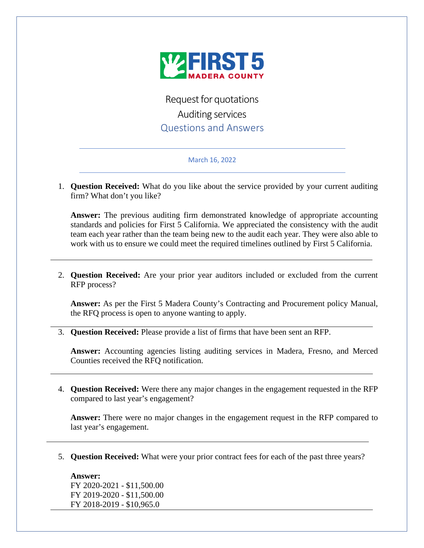

Request for quotations Auditing services Questions and Answers

## March 16, 2022

1. **Question Received:** What do you like about the service provided by your current auditing firm? What don't you like?

**Answer:** The previous auditing firm demonstrated knowledge of appropriate accounting standards and policies for First 5 California. We appreciated the consistency with the audit team each year rather than the team being new to the audit each year. They were also able to work with us to ensure we could meet the required timelines outlined by First 5 California.

2. **Question Received:** Are your prior year auditors included or excluded from the current RFP process?

**Answer:** As per the First 5 Madera County's Contracting and Procurement policy Manual, the RFQ process is open to anyone wanting to apply.

3. **Question Received:** Please provide a list of firms that have been sent an RFP.

**Answer:** Accounting agencies listing auditing services in Madera, Fresno, and Merced Counties received the RFQ notification.

4. **Question Received:** Were there any major changes in the engagement requested in the RFP compared to last year's engagement?

**Answer:** There were no major changes in the engagement request in the RFP compared to last year's engagement.

5. **Question Received:** What were your prior contract fees for each of the past three years?

## **Answer:**

FY 2020-2021 - \$11,500.00 FY 2019-2020 - \$11,500.00 FY 2018-2019 - \$10,965.0